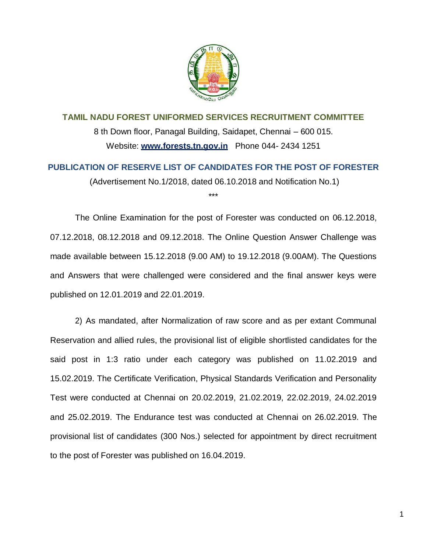

**TAMIL NADU FOREST UNIFORMED SERVICES RECRUITMENT COMMITTEE** 8 th Down floor, Panagal Building, Saidapet, Chennai – 600 015. Website: **[www.forests.tn.gov.in](http://www.forests.tn.gov.in/)** Phone 044- 2434 1251

**PUBLICATION OF RESERVE LIST OF CANDIDATES FOR THE POST OF FORESTER** (Advertisement No.1/2018, dated 06.10.2018 and Notification No.1) \*\*\*

The Online Examination for the post of Forester was conducted on 06.12.2018, 07.12.2018, 08.12.2018 and 09.12.2018. The Online Question Answer Challenge was made available between 15.12.2018 (9.00 AM) to 19.12.2018 (9.00AM). The Questions and Answers that were challenged were considered and the final answer keys were published on 12.01.2019 and 22.01.2019.

2) As mandated, after Normalization of raw score and as per extant Communal Reservation and allied rules, the provisional list of eligible shortlisted candidates for the said post in 1:3 ratio under each category was published on 11.02.2019 and 15.02.2019. The Certificate Verification, Physical Standards Verification and Personality Test were conducted at Chennai on 20.02.2019, 21.02.2019, 22.02.2019, 24.02.2019 and 25.02.2019. The Endurance test was conducted at Chennai on 26.02.2019. The provisional list of candidates (300 Nos.) selected for appointment by direct recruitment to the post of Forester was published on 16.04.2019.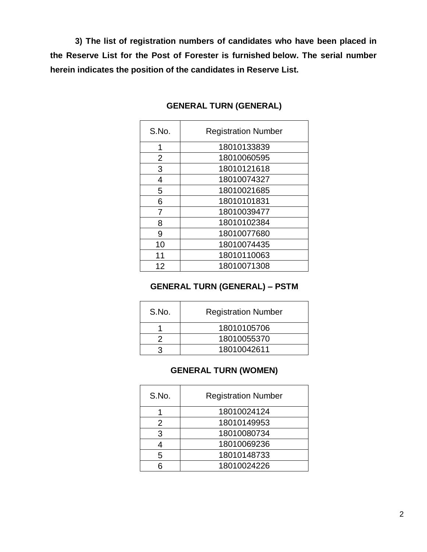**3) The list of registration numbers of candidates who have been placed in the Reserve List for the Post of Forester is furnished below. The serial number herein indicates the position of the candidates in Reserve List.**

| S.No.          | <b>Registration Number</b> |
|----------------|----------------------------|
| 1              | 18010133839                |
| $\overline{2}$ | 18010060595                |
| 3              | 18010121618                |
| 4              | 18010074327                |
| 5              | 18010021685                |
| 6              | 18010101831                |
| 7              | 18010039477                |
| 8              | 18010102384                |
| 9              | 18010077680                |
| 10             | 18010074435                |
| 11             | 18010110063                |
| 12             | 18010071308                |

# **GENERAL TURN (GENERAL)**

# **GENERAL TURN (GENERAL) – PSTM**

| S.No. | <b>Registration Number</b> |
|-------|----------------------------|
|       | 18010105706                |
|       | 18010055370                |
|       | 18010042611                |

# **GENERAL TURN (WOMEN)**

| S.No. | <b>Registration Number</b> |
|-------|----------------------------|
|       | 18010024124                |
| 2     | 18010149953                |
| 3     | 18010080734                |
|       | 18010069236                |
| 5     | 18010148733                |
|       | 18010024226                |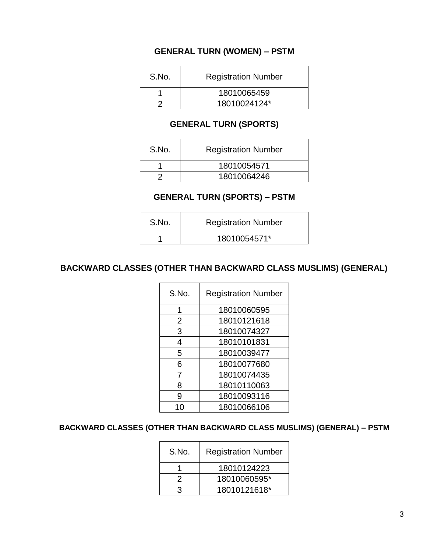# **GENERAL TURN (WOMEN) – PSTM**

| S.No. | <b>Registration Number</b> |
|-------|----------------------------|
|       | 18010065459                |
|       | 18010024124*               |

## **GENERAL TURN (SPORTS)**

| S.No. | <b>Registration Number</b> |
|-------|----------------------------|
|       | 18010054571                |
|       | 18010064246                |

# **GENERAL TURN (SPORTS) – PSTM**

| S.No. | <b>Registration Number</b> |
|-------|----------------------------|
|       | 18010054571*               |

## **BACKWARD CLASSES (OTHER THAN BACKWARD CLASS MUSLIMS) (GENERAL)**

| S.No. | <b>Registration Number</b> |
|-------|----------------------------|
|       | 18010060595                |
| 2     | 18010121618                |
| 3     | 18010074327                |
| 4     | 18010101831                |
| 5     | 18010039477                |
| 6     | 18010077680                |
| 7     | 18010074435                |
| 8     | 18010110063                |
| 9     | 18010093116                |
|       | 18010066106                |

## **BACKWARD CLASSES (OTHER THAN BACKWARD CLASS MUSLIMS) (GENERAL) – PSTM**

| S.No. | <b>Registration Number</b> |
|-------|----------------------------|
|       | 18010124223                |
| 2     | 18010060595*               |
| ঽ     | 18010121618*               |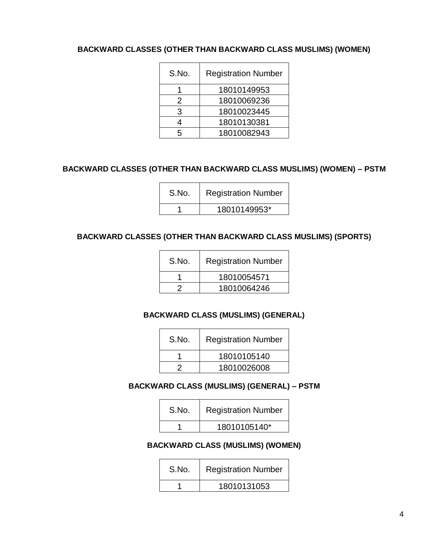## **BACKWARD CLASSES (OTHER THAN BACKWARD CLASS MUSLIMS) (WOMEN)**

| S.No. | <b>Registration Number</b> |
|-------|----------------------------|
|       | 18010149953                |
| 2     | 18010069236                |
| 3     | 18010023445                |
|       | 18010130381                |
|       | 18010082943                |

### **BACKWARD CLASSES (OTHER THAN BACKWARD CLASS MUSLIMS) (WOMEN) – PSTM**

| S.No. | <b>Registration Number</b> |
|-------|----------------------------|
|       | 18010149953*               |

#### **BACKWARD CLASSES (OTHER THAN BACKWARD CLASS MUSLIMS) (SPORTS)**

| S.No. | <b>Registration Number</b> |
|-------|----------------------------|
|       | 18010054571                |
|       | 18010064246                |

### **BACKWARD CLASS (MUSLIMS) (GENERAL)**  <u> 1980 - Johann Barn, mars eta bainar eta bainar eta baina eta baina eta baina eta baina eta baina eta baina e</u>

 $\overline{ }$ 

| S.No. | <b>Registration Number</b> |
|-------|----------------------------|
|       | 18010105140                |
|       | 18010026008                |

### **BACKWARD CLASS (MUSLIMS) (GENERAL) – PSTM**

| S.No. | <b>Registration Number</b> |
|-------|----------------------------|
|       | 18010105140*               |

#### **BACKWARD CLASS (MUSLIMS) (WOMEN)**

| S.No. | <b>Registration Number</b> |
|-------|----------------------------|
|       | 18010131053                |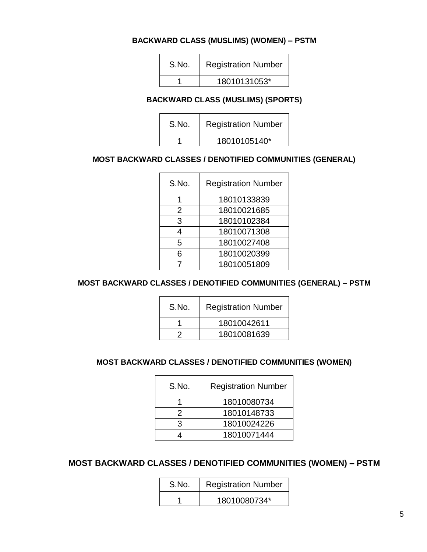### **BACKWARD CLASS (MUSLIMS) (WOMEN) – PSTM**

| S.No. | <b>Registration Number</b> |
|-------|----------------------------|
|       | 18010131053*               |

#### **BACKWARD CLASS (MUSLIMS) (SPORTS)**

| S.No. | <b>Registration Number</b> |
|-------|----------------------------|
|       | 18010105140*               |

#### **MOST BACKWARD CLASSES / DENOTIFIED COMMUNITIES (GENERAL)**

| S.No. | <b>Registration Number</b> |
|-------|----------------------------|
|       | 18010133839                |
| 2     | 18010021685                |
| 3     | 18010102384                |
| 4     | 18010071308                |
| 5     | 18010027408                |
| հ     | 18010020399                |
|       | 18010051809                |

## **MOST BACKWARD CLASSES / DENOTIFIED COMMUNITIES (GENERAL) – PSTM**

| S.No. | <b>Registration Number</b> |
|-------|----------------------------|
|       | 18010042611                |
|       | 18010081639                |

# **MOST BACKWARD CLASSES / DENOTIFIED COMMUNITIES (WOMEN)**

| S.No. | <b>Registration Number</b> |
|-------|----------------------------|
|       | 18010080734                |
| 2     | 18010148733                |
| 3     | 18010024226                |
|       | 18010071444                |

# **MOST BACKWARD CLASSES / DENOTIFIED COMMUNITIES (WOMEN) – PSTM**

| S.No. | <b>Registration Number</b> |
|-------|----------------------------|
|       | 18010080734*               |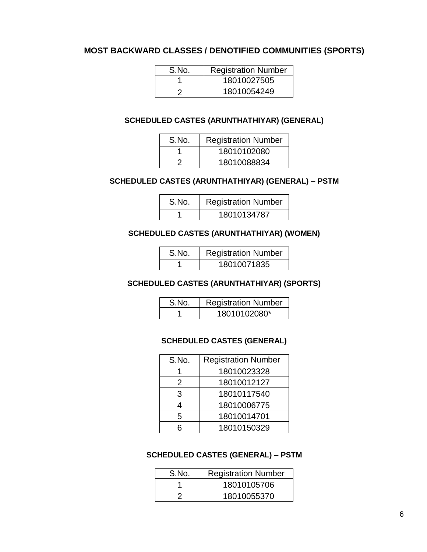## **MOST BACKWARD CLASSES / DENOTIFIED COMMUNITIES (SPORTS)**

| S.No. | <b>Registration Number</b> |
|-------|----------------------------|
|       | 18010027505                |
|       | 18010054249                |

### **SCHEDULED CASTES (ARUNTHATHIYAR) (GENERAL)**

| S.No. | <b>Registration Number</b> |
|-------|----------------------------|
|       | 18010102080                |
|       | 18010088834                |

# **SCHEDULED CASTES (ARUNTHATHIYAR) (GENERAL) – PSTM**

| S.No. | <b>Registration Number</b> |
|-------|----------------------------|
|       | 18010134787                |

#### **SCHEDULED CASTES (ARUNTHATHIYAR) (WOMEN)**

| S.No. | <b>Registration Number</b> |
|-------|----------------------------|
|       | 18010071835                |

## **SCHEDULED CASTES (ARUNTHATHIYAR) (SPORTS)**

| S.No. | <b>Registration Number</b> |
|-------|----------------------------|
|       | 18010102080*               |

#### **SCHEDULED CASTES (GENERAL)**

| S.No. | <b>Registration Number</b> |
|-------|----------------------------|
|       | 18010023328                |
| 2     | 18010012127                |
| 3     | 18010117540                |
|       | 18010006775                |
| 5     | 18010014701                |
|       | 18010150329                |

#### **SCHEDULED CASTES (GENERAL) – PSTM**

| S.No. | <b>Registration Number</b> |
|-------|----------------------------|
|       | 18010105706                |
|       | 18010055370                |